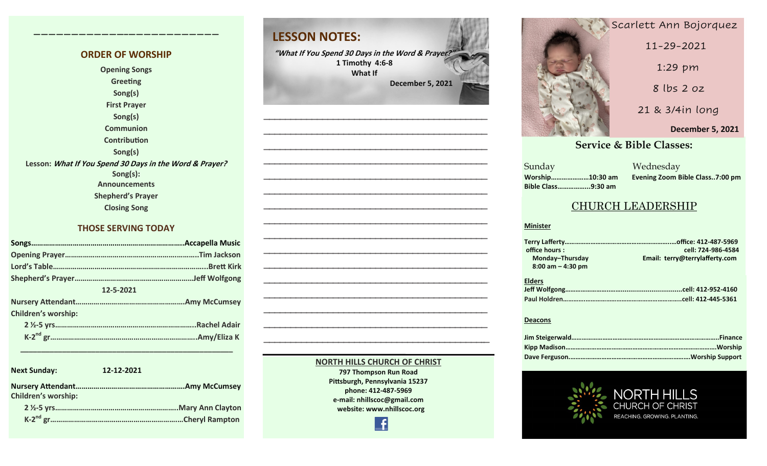#### **ORDER OF WORSHIP Opening Songs**

**————————————–————————————**

**Greeting Song(s) First Prayer Song(s) Communion Contribution Song(s) Lesson: What If You Spend 30 Days in the Word & Prayer? Song(s): Announcements Shepherd's Prayer Closing Song**

#### **THOSE SERVING TODAY**

| 12-5-2021                  |  |  |  |  |
|----------------------------|--|--|--|--|
|                            |  |  |  |  |
| <b>Children's worship:</b> |  |  |  |  |
|                            |  |  |  |  |
|                            |  |  |  |  |

 **\_\_\_\_\_\_\_\_\_\_\_\_\_\_\_\_\_\_\_\_\_\_\_\_\_\_\_\_\_\_\_\_\_\_\_\_\_\_\_\_\_\_\_\_\_\_\_\_\_\_\_**

**Next Sunday: 12-12-2021 Nursery Attendant……………………………………………….Amy McCumsey Children's worship: 2 ½-5 yrs……………………………………………………..Mary Ann Clayton K-2 nd gr……………………………………………………….…Cheryl Rampton**

# **LESSON NOTES:**

**"What If You Spend 30 Days in the Word & Prayer?" 1 Timothy 4:6-8 What If December 5, 2021**

**—————————————————————————————————————————— —————————————————————————————————————————— —————————————————————————————————————————— —————————————————————————————————————————— —————————————————————————————————————————— —————————————————————————————————————————— —————————————————————————————————————————— —————————————————————————————————————————— —————————————————————————————————————————— —————————————————————————————————————————— —————————————————————————————————————————— —————————————————————————————————————————— —————————————————————————————————————————— —————————————————————————————————————————— —————————————————————————————————————————— —————————————————————————————————————————–—**

> **NORTH HILLS CHURCH OF CHRIST 797 Thompson Run Road Pittsburgh, Pennsylvania 15237 phone: 412-487-5969 e-mail: nhillscoc@gmail.com website: www.nhillscoc.org**

> > £

**September 17, 2017 January 14, 2018 April 22, 2018 May 17, 2020 March 7, 2021** Scarlett Ann Bojorquez **December 6, 2020 May 9, 2021 June 20, 2021 July 18, 2021 October 17, 2021 December 5, 2021November 2021**  11-29-2021 1:29 pm 8 lbs 2 oz 21 & 3/4in long

#### **September 24, 2017 October 8, 2017 October 15, 2017 October 8, 2017 October 22, 2017 December 10, 2017 February 21, 2021 March 2021**<br> **Service & Bible Classes:**

**December 17, 2017 December 29, 2019 February 9, 2020 January 26, 2020 February 23, 2020 March 1, 2020 April 5, 2020** Sunday Wednesday **December 24, 2017 January 7, 2017 January 7, 2017 March 18, 2018 January 28, 2018 February 4, 2018 January 21, 2018 Sunday Bible Class……………...9:30 am**

**October 29, 2017 November 5, 2017 November 12, 2017 November 26, 2017 Worship…………………10:30 am Evening Zoom Bible Class..7:00 pm**

#### CHURCH LEADERSHIP

#### **Minister**

| office hours:        | cell: 724-986-4584             |
|----------------------|--------------------------------|
| Monday-Thursday      | Email: terry@terrylafferty.com |
| $8:00$ am $-4:30$ pm |                                |
| <b>Elders</b>        |                                |
|                      |                                |
|                      |                                |
|                      |                                |

#### **Deacons**